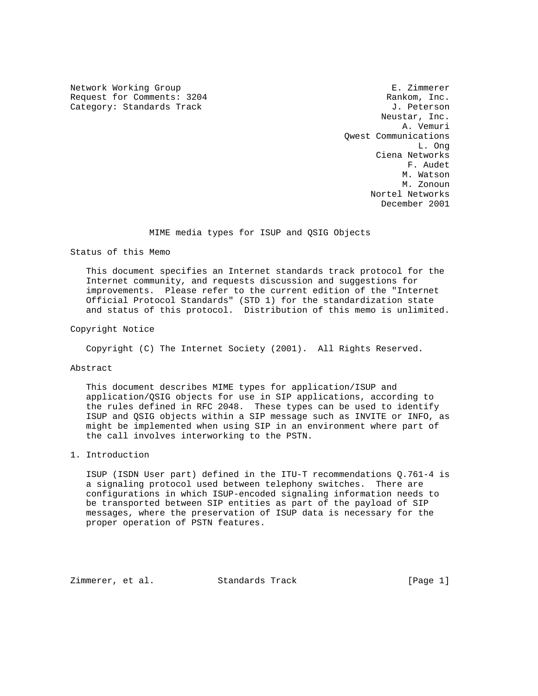Network Working Group **E. 21 and 2008** E. Zimmerer Request for Comments: 3204 Rankom, Inc. Category: Standards Track J. Peterson

 Neustar, Inc. A. Vemuri Qwest Communications L. Ong Ciena Networks F. Audet M. Watson M. Watson M. Watson M. Zonoun Nortel Networks December 2001

#### MIME media types for ISUP and QSIG Objects

Status of this Memo

 This document specifies an Internet standards track protocol for the Internet community, and requests discussion and suggestions for improvements. Please refer to the current edition of the "Internet Official Protocol Standards" (STD 1) for the standardization state and status of this protocol. Distribution of this memo is unlimited.

## Copyright Notice

Copyright (C) The Internet Society (2001). All Rights Reserved.

#### Abstract

 This document describes MIME types for application/ISUP and application/QSIG objects for use in SIP applications, according to the rules defined in RFC 2048. These types can be used to identify ISUP and QSIG objects within a SIP message such as INVITE or INFO, as might be implemented when using SIP in an environment where part of the call involves interworking to the PSTN.

# 1. Introduction

 ISUP (ISDN User part) defined in the ITU-T recommendations Q.761-4 is a signaling protocol used between telephony switches. There are configurations in which ISUP-encoded signaling information needs to be transported between SIP entities as part of the payload of SIP messages, where the preservation of ISUP data is necessary for the proper operation of PSTN features.

Zimmerer, et al. Standards Track [Page 1]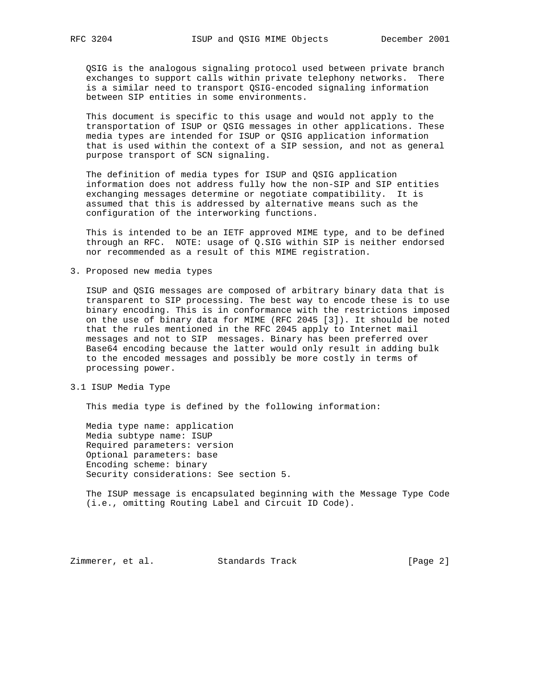QSIG is the analogous signaling protocol used between private branch exchanges to support calls within private telephony networks. There is a similar need to transport QSIG-encoded signaling information between SIP entities in some environments.

 This document is specific to this usage and would not apply to the transportation of ISUP or QSIG messages in other applications. These media types are intended for ISUP or QSIG application information that is used within the context of a SIP session, and not as general purpose transport of SCN signaling.

 The definition of media types for ISUP and QSIG application information does not address fully how the non-SIP and SIP entities exchanging messages determine or negotiate compatibility. It is assumed that this is addressed by alternative means such as the configuration of the interworking functions.

 This is intended to be an IETF approved MIME type, and to be defined through an RFC. NOTE: usage of Q.SIG within SIP is neither endorsed nor recommended as a result of this MIME registration.

3. Proposed new media types

 ISUP and QSIG messages are composed of arbitrary binary data that is transparent to SIP processing. The best way to encode these is to use binary encoding. This is in conformance with the restrictions imposed on the use of binary data for MIME (RFC 2045 [3]). It should be noted that the rules mentioned in the RFC 2045 apply to Internet mail messages and not to SIP messages. Binary has been preferred over Base64 encoding because the latter would only result in adding bulk to the encoded messages and possibly be more costly in terms of processing power.

3.1 ISUP Media Type

This media type is defined by the following information:

 Media type name: application Media subtype name: ISUP Required parameters: version Optional parameters: base Encoding scheme: binary Security considerations: See section 5.

 The ISUP message is encapsulated beginning with the Message Type Code (i.e., omitting Routing Label and Circuit ID Code).

Zimmerer, et al. Standards Track [Page 2]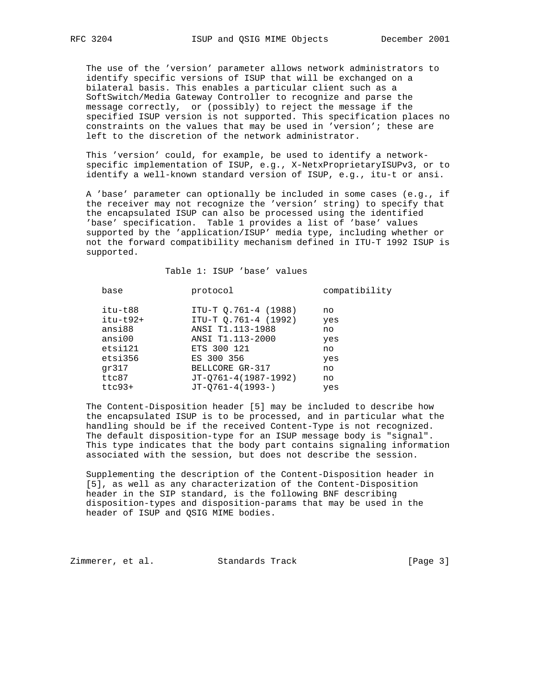The use of the 'version' parameter allows network administrators to identify specific versions of ISUP that will be exchanged on a bilateral basis. This enables a particular client such as a SoftSwitch/Media Gateway Controller to recognize and parse the message correctly, or (possibly) to reject the message if the specified ISUP version is not supported. This specification places no constraints on the values that may be used in 'version'; these are left to the discretion of the network administrator.

 This 'version' could, for example, be used to identify a network specific implementation of ISUP, e.g., X-NetxProprietaryISUPv3, or to identify a well-known standard version of ISUP, e.g., itu-t or ansi.

 A 'base' parameter can optionally be included in some cases (e.g., if the receiver may not recognize the 'version' string) to specify that the encapsulated ISUP can also be processed using the identified 'base' specification. Table 1 provides a list of 'base' values supported by the 'application/ISUP' media type, including whether or not the forward compatibility mechanism defined in ITU-T 1992 ISUP is supported.

Table 1: ISUP 'base' values

| base       | protocol             | compatibility |
|------------|----------------------|---------------|
| itu-t88    | ITU-T Q.761-4 (1988) | no            |
| $itu-t92+$ | ITU-T Q.761-4 (1992) | yes           |
| ansi88     | ANSI T1.113-1988     | no            |
| ansi00     | ANSI T1.113-2000     | yes           |
| etsi121    | ETS 300 121          | no            |
| etsi356    | ES 300 356           | yes           |
| qr317      | BELLCORE GR-317      | no            |
| ttc87      | JT-Q761-4(1987-1992) | no            |
| $ttc93+$   | $JT-O761-4(1993-)$   | yes           |

 The Content-Disposition header [5] may be included to describe how the encapsulated ISUP is to be processed, and in particular what the handling should be if the received Content-Type is not recognized. The default disposition-type for an ISUP message body is "signal". This type indicates that the body part contains signaling information associated with the session, but does not describe the session.

 Supplementing the description of the Content-Disposition header in [5], as well as any characterization of the Content-Disposition header in the SIP standard, is the following BNF describing disposition-types and disposition-params that may be used in the header of ISUP and QSIG MIME bodies.

Zimmerer, et al. Standards Track [Page 3]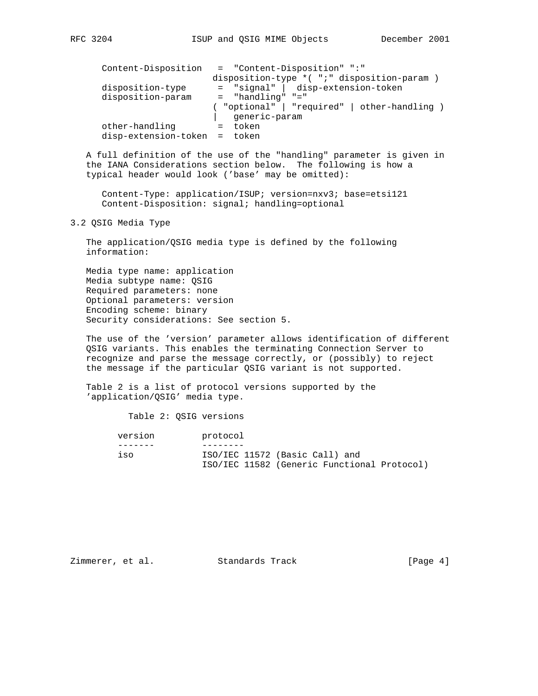| Content-Disposition    | = "Content-Disposition" ":"<br>disposition-type *( ";" disposition-param ) |
|------------------------|----------------------------------------------------------------------------|
| disposition-type       | = "signal"   disp-extension-token                                          |
| disposition-param      | $=$ "handling" "="                                                         |
|                        | ( "optional"   "required"   other-handling )<br>generic-param              |
| other-handling         | token                                                                      |
| disp-extension-token = | token                                                                      |

 A full definition of the use of the "handling" parameter is given in the IANA Considerations section below. The following is how a typical header would look ('base' may be omitted):

 Content-Type: application/ISUP; version=nxv3; base=etsi121 Content-Disposition: signal; handling=optional

3.2 QSIG Media Type

 The application/QSIG media type is defined by the following information:

 Media type name: application Media subtype name: QSIG Required parameters: none Optional parameters: version Encoding scheme: binary Security considerations: See section 5.

 The use of the 'version' parameter allows identification of different QSIG variants. This enables the terminating Connection Server to recognize and parse the message correctly, or (possibly) to reject the message if the particular QSIG variant is not supported.

 Table 2 is a list of protocol versions supported by the 'application/QSIG' media type.

Table 2: QSIG versions

| version | protocol                                    |  |
|---------|---------------------------------------------|--|
|         |                                             |  |
| iso     | ISO/IEC 11572 (Basic Call) and              |  |
|         | ISO/IEC 11582 (Generic Functional Protocol) |  |

Zimmerer, et al. Standards Track [Page 4]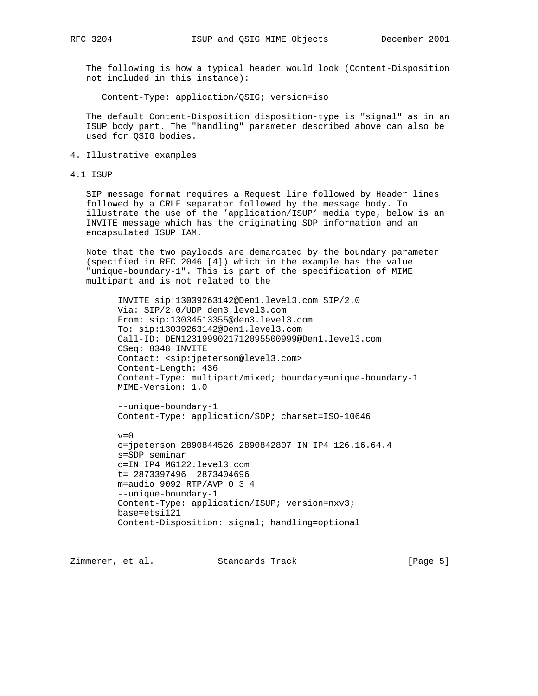The following is how a typical header would look (Content-Disposition not included in this instance):

Content-Type: application/QSIG; version=iso

 The default Content-Disposition disposition-type is "signal" as in an ISUP body part. The "handling" parameter described above can also be used for QSIG bodies.

4. Illustrative examples

4.1 ISUP

 SIP message format requires a Request line followed by Header lines followed by a CRLF separator followed by the message body. To illustrate the use of the 'application/ISUP' media type, below is an INVITE message which has the originating SDP information and an encapsulated ISUP IAM.

 Note that the two payloads are demarcated by the boundary parameter (specified in RFC 2046 [4]) which in the example has the value "unique-boundary-1". This is part of the specification of MIME multipart and is not related to the

 INVITE sip:13039263142@Den1.level3.com SIP/2.0 Via: SIP/2.0/UDP den3.level3.com From: sip:13034513355@den3.level3.com To: sip:13039263142@Den1.level3.com Call-ID: DEN1231999021712095500999@Den1.level3.com CSeq: 8348 INVITE Contact: <sip:jpeterson@level3.com> Content-Length: 436 Content-Type: multipart/mixed; boundary=unique-boundary-1 MIME-Version: 1.0

 --unique-boundary-1 Content-Type: application/SDP; charset=ISO-10646

 $v=0$  o=jpeterson 2890844526 2890842807 IN IP4 126.16.64.4 s=SDP seminar c=IN IP4 MG122.level3.com t= 2873397496 2873404696 m=audio 9092 RTP/AVP 0 3 4 --unique-boundary-1 Content-Type: application/ISUP; version=nxv3; base=etsi121 Content-Disposition: signal; handling=optional

Zimmerer, et al. Standards Track [Page 5]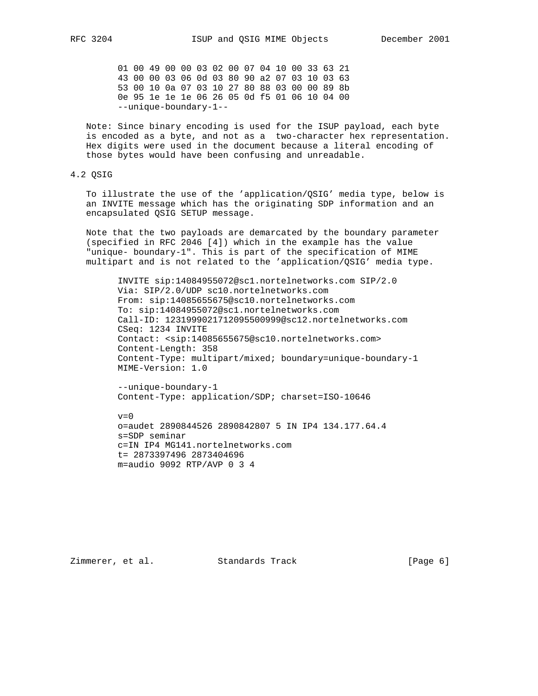01 00 49 00 00 03 02 00 07 04 10 00 33 63 21 43 00 00 03 06 0d 03 80 90 a2 07 03 10 03 63 53 00 10 0a 07 03 10 27 80 88 03 00 00 89 8b 0e 95 1e 1e 1e 06 26 05 0d f5 01 06 10 04 00 --unique-boundary-1--

 Note: Since binary encoding is used for the ISUP payload, each byte is encoded as a byte, and not as a two-character hex representation. Hex digits were used in the document because a literal encoding of those bytes would have been confusing and unreadable.

# 4.2 QSIG

 To illustrate the use of the 'application/QSIG' media type, below is an INVITE message which has the originating SDP information and an encapsulated QSIG SETUP message.

 Note that the two payloads are demarcated by the boundary parameter (specified in RFC 2046 [4]) which in the example has the value "unique- boundary-1". This is part of the specification of MIME multipart and is not related to the 'application/QSIG' media type.

 INVITE sip:14084955072@sc1.nortelnetworks.com SIP/2.0 Via: SIP/2.0/UDP sc10.nortelnetworks.com From: sip:14085655675@sc10.nortelnetworks.com To: sip:14084955072@sc1.nortelnetworks.com Call-ID: 1231999021712095500999@sc12.nortelnetworks.com CSeq: 1234 INVITE Contact: <sip:14085655675@sc10.nortelnetworks.com> Content-Length: 358 Content-Type: multipart/mixed; boundary=unique-boundary-1 MIME-Version: 1.0

 --unique-boundary-1 Content-Type: application/SDP; charset=ISO-10646

 $v=0$ 

 o=audet 2890844526 2890842807 5 IN IP4 134.177.64.4 s=SDP seminar c=IN IP4 MG141.nortelnetworks.com t= 2873397496 2873404696 m=audio 9092 RTP/AVP 0 3 4

Zimmerer, et al. Standards Track [Page 6]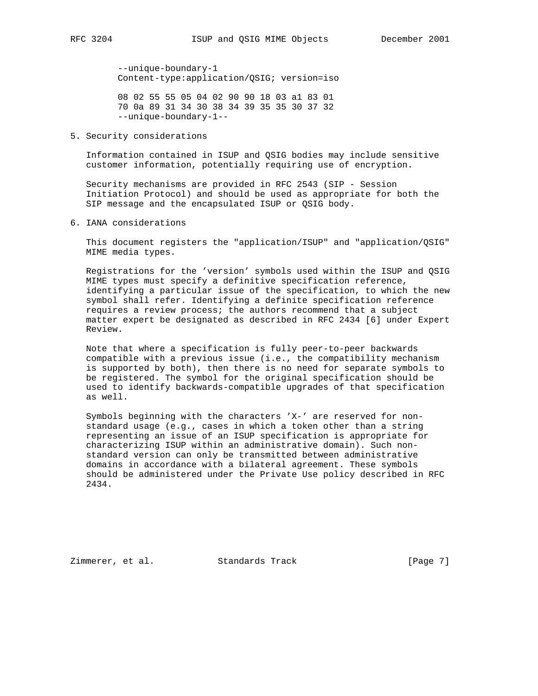--unique-boundary-1 Content-type:application/QSIG; version=iso

 08 02 55 55 05 04 02 90 90 18 03 a1 83 01 70 0a 89 31 34 30 38 34 39 35 35 30 37 32 --unique-boundary-1--

5. Security considerations

 Information contained in ISUP and QSIG bodies may include sensitive customer information, potentially requiring use of encryption.

 Security mechanisms are provided in RFC 2543 (SIP - Session Initiation Protocol) and should be used as appropriate for both the SIP message and the encapsulated ISUP or QSIG body.

6. IANA considerations

 This document registers the "application/ISUP" and "application/QSIG" MIME media types.

 Registrations for the 'version' symbols used within the ISUP and QSIG MIME types must specify a definitive specification reference, identifying a particular issue of the specification, to which the new symbol shall refer. Identifying a definite specification reference requires a review process; the authors recommend that a subject matter expert be designated as described in RFC 2434 [6] under Expert Review.

 Note that where a specification is fully peer-to-peer backwards compatible with a previous issue (i.e., the compatibility mechanism is supported by both), then there is no need for separate symbols to be registered. The symbol for the original specification should be used to identify backwards-compatible upgrades of that specification as well.

 Symbols beginning with the characters 'X-' are reserved for non standard usage (e.g., cases in which a token other than a string representing an issue of an ISUP specification is appropriate for characterizing ISUP within an administrative domain). Such non standard version can only be transmitted between administrative domains in accordance with a bilateral agreement. These symbols should be administered under the Private Use policy described in RFC 2434.

Zimmerer, et al. Standards Track [Page 7]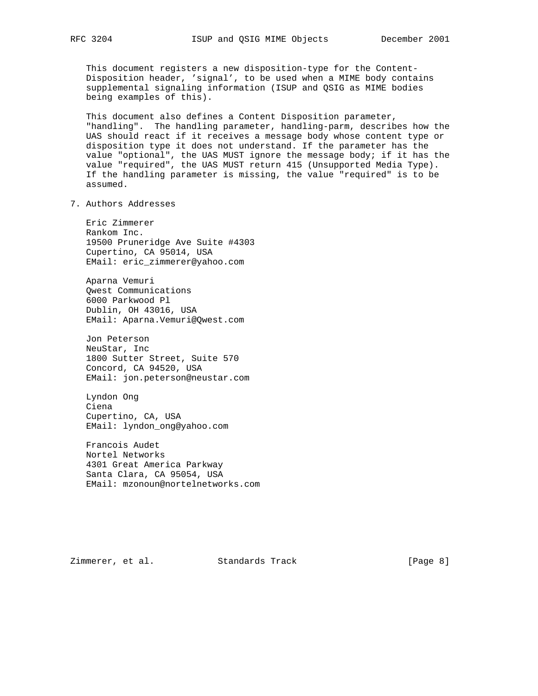This document registers a new disposition-type for the Content- Disposition header, 'signal', to be used when a MIME body contains supplemental signaling information (ISUP and QSIG as MIME bodies being examples of this).

 This document also defines a Content Disposition parameter, "handling". The handling parameter, handling-parm, describes how the UAS should react if it receives a message body whose content type or disposition type it does not understand. If the parameter has the value "optional", the UAS MUST ignore the message body; if it has the value "required", the UAS MUST return 415 (Unsupported Media Type). If the handling parameter is missing, the value "required" is to be assumed.

7. Authors Addresses

 Eric Zimmerer Rankom Inc. 19500 Pruneridge Ave Suite #4303 Cupertino, CA 95014, USA EMail: eric\_zimmerer@yahoo.com

 Aparna Vemuri Qwest Communications 6000 Parkwood Pl Dublin, OH 43016, USA EMail: Aparna.Vemuri@Qwest.com

 Jon Peterson NeuStar, Inc 1800 Sutter Street, Suite 570 Concord, CA 94520, USA EMail: jon.peterson@neustar.com

 Lyndon Ong Ciena Cupertino, CA, USA EMail: lyndon\_ong@yahoo.com

 Francois Audet Nortel Networks 4301 Great America Parkway Santa Clara, CA 95054, USA EMail: mzonoun@nortelnetworks.com

Zimmerer, et al. Standards Track [Page 8]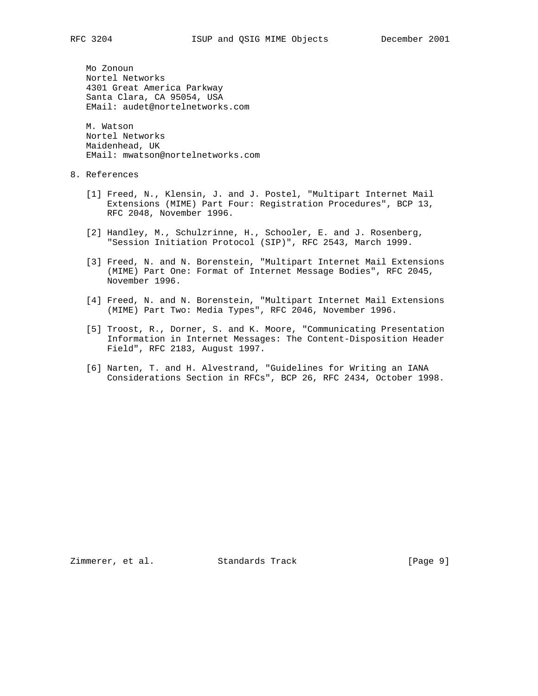Mo Zonoun Nortel Networks 4301 Great America Parkway Santa Clara, CA 95054, USA EMail: audet@nortelnetworks.com

 M. Watson Nortel Networks Maidenhead, UK EMail: mwatson@nortelnetworks.com

## 8. References

- [1] Freed, N., Klensin, J. and J. Postel, "Multipart Internet Mail Extensions (MIME) Part Four: Registration Procedures", BCP 13, RFC 2048, November 1996.
- [2] Handley, M., Schulzrinne, H., Schooler, E. and J. Rosenberg, "Session Initiation Protocol (SIP)", RFC 2543, March 1999.
- [3] Freed, N. and N. Borenstein, "Multipart Internet Mail Extensions (MIME) Part One: Format of Internet Message Bodies", RFC 2045, November 1996.
- [4] Freed, N. and N. Borenstein, "Multipart Internet Mail Extensions (MIME) Part Two: Media Types", RFC 2046, November 1996.
- [5] Troost, R., Dorner, S. and K. Moore, "Communicating Presentation Information in Internet Messages: The Content-Disposition Header Field", RFC 2183, August 1997.
- [6] Narten, T. and H. Alvestrand, "Guidelines for Writing an IANA Considerations Section in RFCs", BCP 26, RFC 2434, October 1998.

Zimmerer, et al. Standards Track [Page 9]